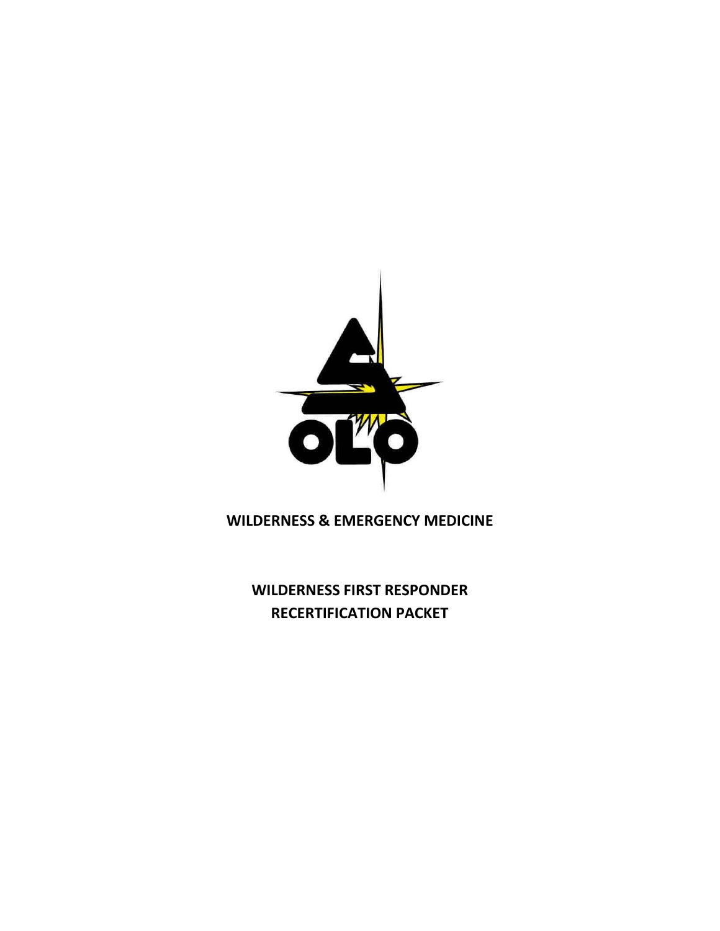

**WILDERNESS & EMERGENCY MEDICINE**

**WILDERNESS FIRST RESPONDER RECERTIFICATION PACKET**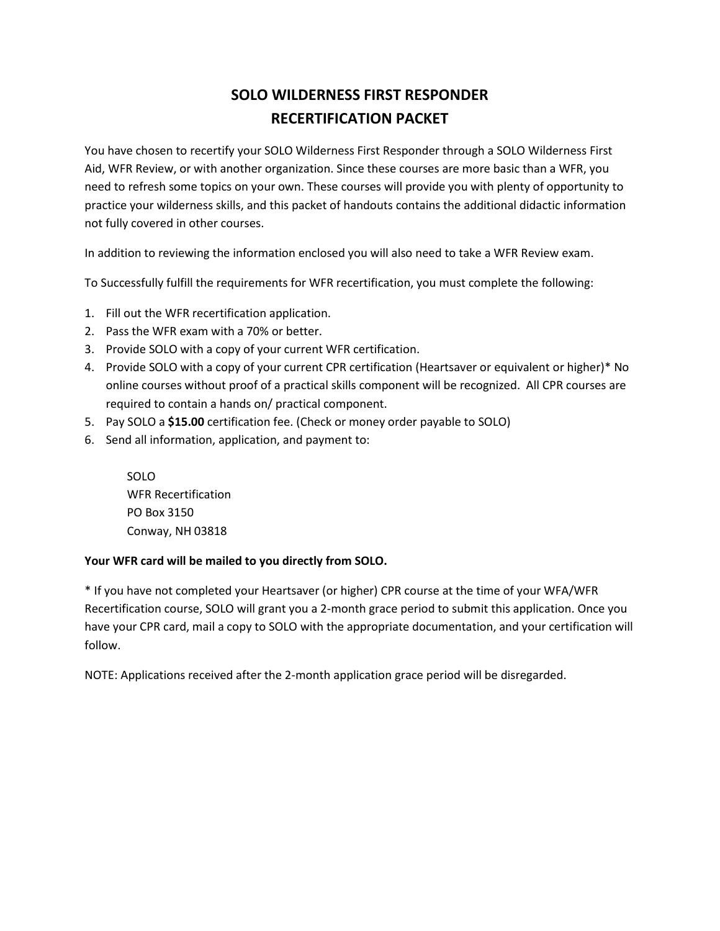## **SOLO WILDERNESS FIRST RESPONDER RECERTIFICATION PACKET**

You have chosen to recertify your SOLO Wilderness First Responder through a SOLO Wilderness First Aid, WFR Review, or with another organization. Since these courses are more basic than a WFR, you need to refresh some topics on your own. These courses will provide you with plenty of opportunity to practice your wilderness skills, and this packet of handouts contains the additional didactic information not fully covered in other courses.

In addition to reviewing the information enclosed you will also need to take a WFR Review exam.

To Successfully fulfill the requirements for WFR recertification, you must complete the following:

- 1. Fill out the WFR recertification application.
- 2. Pass the WFR exam with a 70% or better.
- 3. Provide SOLO with a copy of your current WFR certification.
- 4. Provide SOLO with a copy of your current CPR certification (Heartsaver or equivalent or higher)\* No online courses without proof of a practical skills component will be recognized. All CPR courses are required to contain a hands on/ practical component.
- 5. Pay SOLO a **\$15.00** certification fee. (Check or money order payable to SOLO)
- 6. Send all information, application, and payment to:

SOLO WFR Recertification PO Box 3150 Conway, NH 03818

## **Your WFR card will be mailed to you directly from SOLO.**

\* If you have not completed your Heartsaver (or higher) CPR course at the time of your WFA/WFR Recertification course, SOLO will grant you a 2-month grace period to submit this application. Once you have your CPR card, mail a copy to SOLO with the appropriate documentation, and your certification will follow.

NOTE: Applications received after the 2-month application grace period will be disregarded.